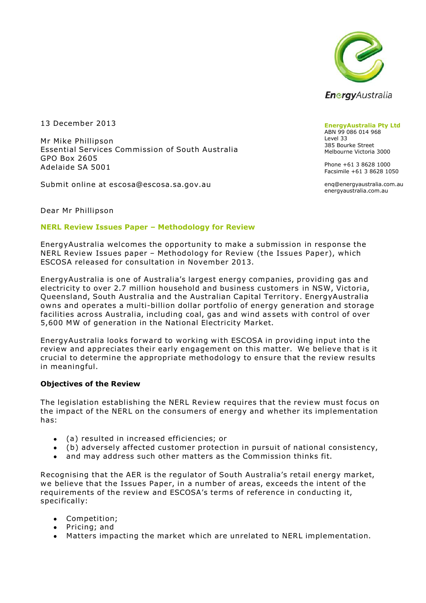

13 December 2013

Mr Mike Phillipson Essential Services Commission of South Australia GPO Box 2605 Adelaide SA 5001

Submit online at escosa@escosa.sa.gov.au

**EnergyAustralia Pty Ltd** ABN 99 086 014 968 Level 33 385 Bourke Street Melbourne Victoria 3000

Phone +61 3 8628 1000 Facsimile +61 3 8628 1050

enq@energyaustralia.com.au energyaustralia.com.au

Dear Mr Phillipson

#### **NERL Review Issues Paper – Methodology for Review**

EnergyAustralia welcomes the opportunity to make a submission in response the NERL Review Issues paper – Methodology for Review (the Issues Paper), which ESCOSA released for consultation in November 2013.

EnergyAustralia is one of Australia's largest energy companies, providing gas and electricity to over 2.7 million household and business customers in NSW, Victoria, Queensland, South Australia and the Australian Capital Territory. EnergyAustralia owns and operates a multi-billion dollar portfolio of energy generation and storage facilities across Australia, including coal, gas and wind as sets with control of over 5,600 MW of generation in the National Electricity Market.

EnergyAustralia looks forward to working with ESCOSA in providing input into the review and appreciates their early engagement on this matter. We believe that is it crucial to determine the appropriate methodology to ensure that the review results in meaningful.

### **Objectives of the Review**

The legislation establishing the NERL Review requires that the review must focus on the impact of the NERL on the consumers of energy and whether its implementation has:

- (a) resulted in increased efficiencies; or
- (b) adversely affected customer protection in pursuit of national consistency,
- and may address such other matters as the Commission thinks fit.

Recognising that the AER is the regulator of South Australia's retail energy market, we believe that the Issues Paper, in a number of areas, exceeds the intent of the requirements of the review and ESCOSA's terms of reference in conducting it, specifically:

- Competition;  $\bullet$  .
- Pricing; and
- Matters impacting the market which are unrelated to NERL implementation.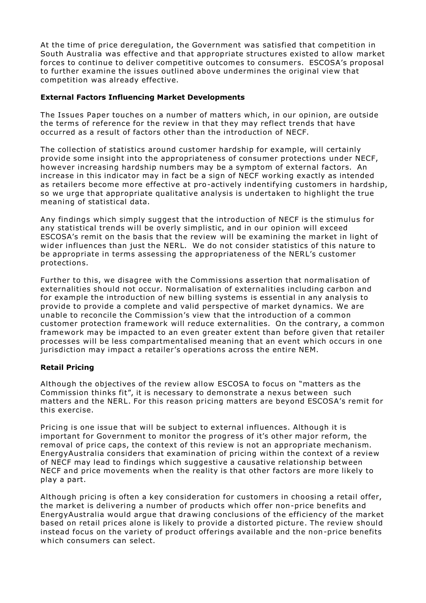At the time of price deregulation, the Government was satisfied that competition in South Australia was effective and that appropriate structures existed to allow market forces to continue to deliver competitive outcomes to consumers. ESCOSA's proposal to further examine the issues outlined above undermines the original view that competition was already effective.

## **External Factors Influencing Market Developments**

The Issues Paper touches on a number of matters which, in our opinion, are outside the terms of reference for the review in that they may reflect trends that have occurred as a result of factors other than the introduction of NECF.

The collection of statistics around customer hardship for example, will certainly provide some insight into the appropriateness of consumer protections under NECF, however increasing hardship numbers may be a symptom of external factors. An increase in this indicator may in fact be a sign of NECF working exactly as intended as retailers become more effective at pro-actively indentifying customers in hardship, so we urge that appropriate qualitative analysis is undertaken to highlight the true meaning of statistical data.

Any findings which simply suggest that the introduction of NECF is the stimulus for any statistical trends will be overly simplistic, and in our opinion will exceed ESCOSA's remit on the basis that the review will be examining the market in light of wider influences than just the NERL. We do not consider statistics of this nature to be appropriate in terms assessing the appropriateness of the NERL's customer protections.

Further to this, we disagree with the Commissions assertion that normalisation of externalities should not occur. Normalisation of externalities including carbon and for example the introduction of new billing systems is essential in any analysis to provide to provide a complete and valid perspective of market dynamics. We are unable to reconcile the Commission's view that the introduction of a common customer protection framework will reduce externalities. On the contrary, a common framework may be impacted to an even greater extent than before given that retailer processes will be less compartmentalised meaning that an event which occurs in one jurisdiction may impact a retailer's operations across the entire NEM.

# **Retail Pricing**

Although the objectives of the review allow ESCOSA to focus on "matters as the Commission thinks fit", it is necessary to demonstrate a nexus between such matters and the NERL. For this reason pricing matters are beyond ESCOSA's remit for this exercise.

Pricing is one issue that will be subject to external influences. Although it is important for Government to monitor the progress of it's other major reform, the removal of price caps, the context of this review is not an appropriate mechanism. EnergyAustralia considers that examination of pricing within the context of a review of NECF may lead to findings which suggestive a causative relationship between NECF and price movements when the reality is that other factors are more likely to play a part.

Although pricing is often a key consideration for customers in choosing a retail offer, the market is delivering a number of products which offer non-price benefits and EnergyAustralia would argue that drawing conclusions of the efficiency of the market based on retail prices alone is likely to provide a distorted picture. The review should instead focus on the variety of product offerings available and the non-price benefits which consumers can select.